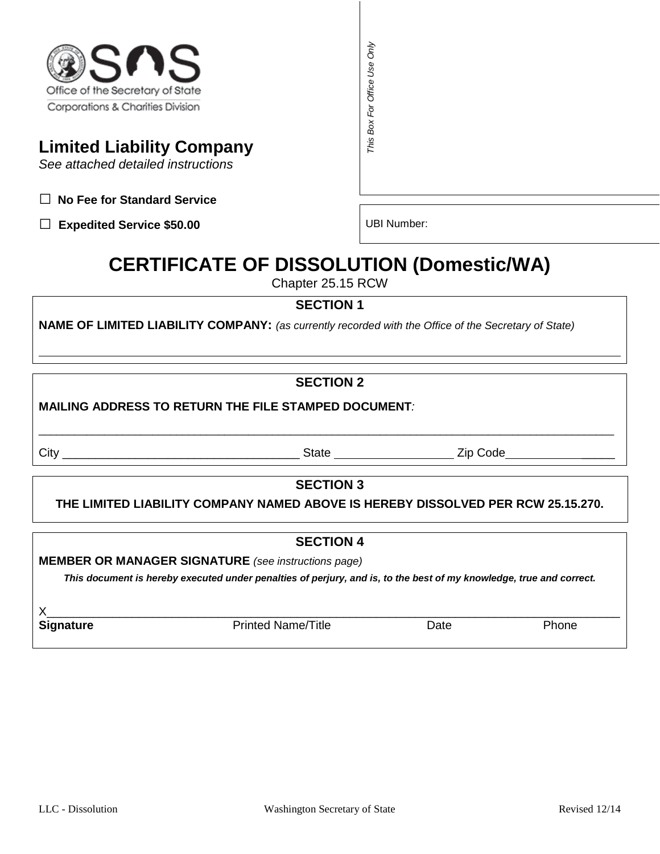

## **Limited Liability Company**

*See attached detailed instructions*

**□ No Fee for Standard Service**

**□ Expedited Service \$50.00**

UBI Number:

# **CERTIFICATE OF DISSOLUTION (Domestic/WA)**

Chapter 25.15 RCW

## **SECTION 1**

**NAME OF LIMITED LIABILITY COMPANY:** *(as currently recorded with the Office of the Secretary of State)*

## **SECTION 2**

\_\_\_\_\_\_\_\_\_\_\_\_\_\_\_\_\_\_\_\_\_\_\_\_\_\_\_\_\_\_\_\_\_\_\_\_\_\_\_\_\_\_\_\_\_\_\_\_\_\_\_\_\_\_\_\_\_\_\_\_\_\_\_\_\_\_\_\_\_\_\_\_\_\_\_\_\_\_\_\_\_\_\_\_\_\_\_\_\_\_\_\_\_\_\_\_

**MAILING ADDRESS TO RETURN THE FILE STAMPED DOCUMENT***:*

City \_\_\_\_\_\_\_\_\_\_\_\_\_\_\_\_\_\_\_\_\_\_\_\_\_\_\_\_\_\_\_\_\_\_\_\_ State Zip Code \_\_\_\_\_

## **SECTION 3**

**THE LIMITED LIABILITY COMPANY NAMED ABOVE IS HEREBY DISSOLVED PER RCW 25.15.270.**

## **SECTION 4**

**MEMBER OR MANAGER SIGNATURE** *(see instructions page)*

*This document is hereby executed under penalties of perjury, and is, to the best of my knowledge, true and correct.*

X\_\_\_\_\_\_\_\_\_\_\_\_\_\_\_\_\_\_\_\_\_\_\_\_\_\_\_\_\_\_\_\_\_\_\_\_\_\_\_\_\_\_\_\_\_\_\_\_\_\_\_\_\_\_\_\_\_\_\_\_\_\_\_\_\_\_\_\_\_\_\_\_\_\_\_\_\_\_\_\_\_\_\_\_\_\_\_